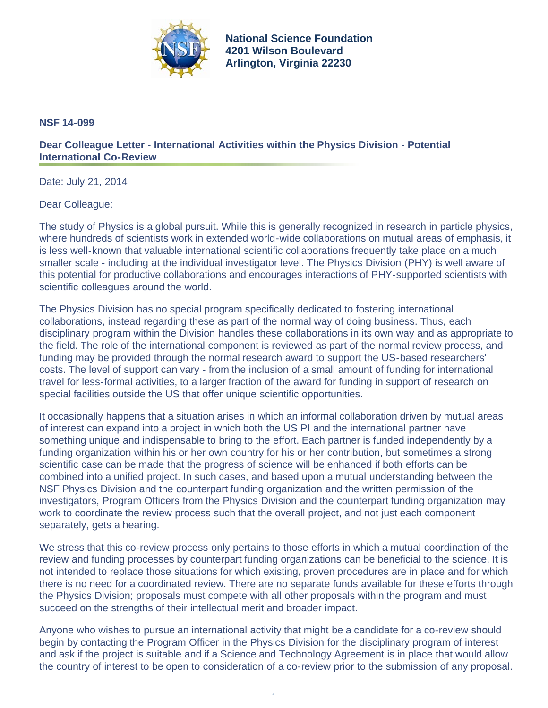

**National Science Foundation 4201 Wilson Boulevard Arlington, Virginia 22230**

## **NSF 14-099**

## **Dear Colleague Letter - International Activities within the Physics Division - Potential International Co-Review**

Date: July 21, 2014

Dear Colleague:

The study of Physics is a global pursuit. While this is generally recognized in research in particle physics, where hundreds of scientists work in extended world-wide collaborations on mutual areas of emphasis, it is less well-known that valuable international scientific collaborations frequently take place on a much smaller scale - including at the individual investigator level. The Physics Division (PHY) is well aware of this potential for productive collaborations and encourages interactions of PHY-supported scientists with scientific colleagues around the world.

The Physics Division has no special program specifically dedicated to fostering international collaborations, instead regarding these as part of the normal way of doing business. Thus, each disciplinary program within the Division handles these collaborations in its own way and as appropriate to the field. The role of the international component is reviewed as part of the normal review process, and funding may be provided through the normal research award to support the US-based researchers' costs. The level of support can vary - from the inclusion of a small amount of funding for international travel for less-formal activities, to a larger fraction of the award for funding in support of research on special facilities outside the US that offer unique scientific opportunities.

It occasionally happens that a situation arises in which an informal collaboration driven by mutual areas of interest can expand into a project in which both the US PI and the international partner have something unique and indispensable to bring to the effort. Each partner is funded independently by a funding organization within his or her own country for his or her contribution, but sometimes a strong scientific case can be made that the progress of science will be enhanced if both efforts can be combined into a unified project. In such cases, and based upon a mutual understanding between the NSF Physics Division and the counterpart funding organization and the written permission of the investigators, Program Officers from the Physics Division and the counterpart funding organization may work to coordinate the review process such that the overall project, and not just each component separately, gets a hearing.

We stress that this co-review process only pertains to those efforts in which a mutual coordination of the review and funding processes by counterpart funding organizations can be beneficial to the science. It is not intended to replace those situations for which existing, proven procedures are in place and for which there is no need for a coordinated review. There are no separate funds available for these efforts through the Physics Division; proposals must compete with all other proposals within the program and must succeed on the strengths of their intellectual merit and broader impact.

Anyone who wishes to pursue an international activity that might be a candidate for a co-review should begin by contacting the Program Officer in the Physics Division for the disciplinary program of interest and ask if the project is suitable and if a Science and Technology Agreement is in place that would allow the country of interest to be open to consideration of a co-review prior to the submission of any proposal.